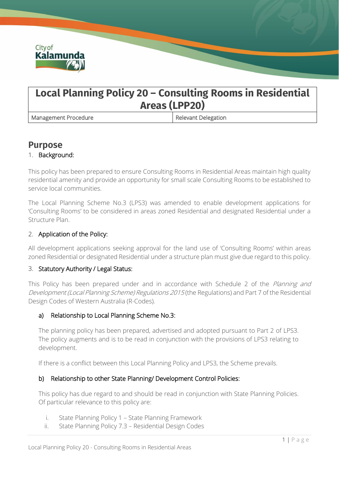

# **Local Planning Policy 20 – Consulting Rooms in Residential Areas (LPP20)**

Management Procedure **Relevant Delegation** 

# **Purpose**

# 1. Background:

This policy has been prepared to ensure Consulting Rooms in Residential Areas maintain high quality residential amenity and provide an opportunity for small scale Consulting Rooms to be established to service local communities.

The Local Planning Scheme No.3 (LPS3) was amended to enable development applications for 'Consulting Rooms' to be considered in areas zoned Residential and designated Residential under a Structure Plan.

# 2. Application of the Policy:

All development applications seeking approval for the land use of 'Consulting Rooms' within areas zoned Residential or designated Residential under a structure plan must give due regard to this policy.

### 3. Statutory Authority / Legal Status:

This Policy has been prepared under and in accordance with Schedule 2 of the *Planning and* Development (Local Planning Scheme) Regulations 2015 (the Regulations) and Part 7 of the Residential Design Codes of Western Australia (R-Codes).

# a) Relationship to Local Planning Scheme No.3:

The planning policy has been prepared, advertised and adopted pursuant to Part 2 of LPS3. The policy augments and is to be read in conjunction with the provisions of LPS3 relating to development.

If there is a conflict between this Local Planning Policy and LPS3, the Scheme prevails.

### b) Relationship to other State Planning/ Development Control Policies:

This policy has due regard to and should be read in conjunction with State Planning Policies. Of particular relevance to this policy are:

- i. State Planning Policy 1 State Planning Framework
- ii. State Planning Policy 7.3 Residential Design Codes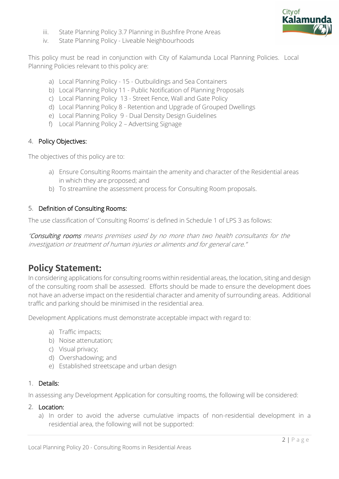

- iii. State Planning Policy 3.7 Planning in Bushfire Prone Areas
- iv. State Planning Policy Liveable Neighbourhoods

This policy must be read in conjunction with City of Kalamunda Local Planning Policies. Local Planning Policies relevant to this policy are:

- a) Local Planning Policy 15 Outbuildings and Sea Containers
- b) Local Planning Policy 11 Public Notification of Planning Proposals
- c) Local Planning Policy 13 Street Fence, Wall and Gate Policy
- d) Local Planning Policy 8 Retention and Upgrade of Grouped Dwellings
- e) Local Planning Policy 9 Dual Density Design Guidelines
- f) Local Planning Policy 2 Advertsing Signage

### 4. Policy Objectives:

The objectives of this policy are to:

- a) Ensure Consulting Rooms maintain the amenity and character of the Residential areas in which they are proposed; and
- b) To streamline the assessment process for Consulting Room proposals.

# 5. Definition of Consulting Rooms:

The use classification of 'Consulting Rooms' is defined in Schedule 1 of LPS 3 as follows:

"Consulting rooms means premises used by no more than two health consultants for the investigation or treatment of human injuries or aliments and for general care."

# **Policy Statement:**

In considering applications for consulting rooms within residential areas, the location, siting and design of the consulting room shall be assessed. Efforts should be made to ensure the development does not have an adverse impact on the residential character and amenity of surrounding areas. Additional traffic and parking should be minimised in the residential area.

Development Applications must demonstrate acceptable impact with regard to:

- a) Traffic impacts;
- b) Noise attenutation;
- c) Visual privacy;
- d) Overshadowing; and
- e) Established streetscape and urban design

### 1. Details:

In assessing any Development Application for consulting rooms, the following will be considered:

#### 2. Location:

a) In order to avoid the adverse cumulative impacts of non-residential development in a residential area, the following will not be supported: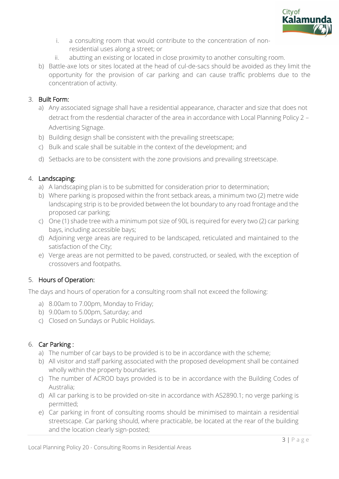

- i. a consulting room that would contribute to the concentration of nonresidential uses along a street; or
- ii. abutting an existing or located in close proximity to another consulting room.
- b) Battle-axe lots or sites located at the head of cul-de-sacs should be avoided as they limit the opportunity for the provision of car parking and can cause traffic problems due to the concentration of activity.

# 3. Built Form:

- a) Any associated signage shall have a residential appearance, character and size that does not detract from the resdential character of the area in accordance with Local Planning Policy 2 – Advertising Signage.
- b) Building design shall be consistent with the prevailing streetscape;
- c) Bulk and scale shall be suitable in the context of the development; and
- d) Setbacks are to be consistent with the zone provisions and prevailing streetscape.

# 4. Landscaping:

- a) A landscaping plan is to be submitted for consideration prior to determination;
- b) Where parking is proposed within the front setback areas, a minimum two (2) metre wide landscaping strip is to be provided between the lot boundary to any road frontage and the proposed car parking;
- c) One (1) shade tree with a minimum pot size of 90L is required for every two (2) car parking bays, including accessible bays;
- d) Adjoining verge areas are required to be landscaped, reticulated and maintained to the satisfaction of the City;
- e) Verge areas are not permitted to be paved, constructed, or sealed, with the exception of crossovers and footpaths.

# 5. Hours of Operation:

The days and hours of operation for a consulting room shall not exceed the following:

- a) 8.00am to 7.00pm, Monday to Friday;
- b) 9.00am to 5.00pm, Saturday; and
- c) Closed on Sundays or Public Holidays.

### 6. Car Parking :

- a) The number of car bays to be provided is to be in accordance with the scheme;
- b) All visitor and staff parking associated with the proposed development shall be contained wholly within the property boundaries.
- c) The number of ACROD bays provided is to be in accordance with the Building Codes of Australia;
- d) All car parking is to be provided on-site in accordance with AS2890.1; no verge parking is permitted;
- e) Car parking in front of consulting rooms should be minimised to maintain a residential streetscape. Car parking should, where practicable, be located at the rear of the building and the location clearly sign-posted;